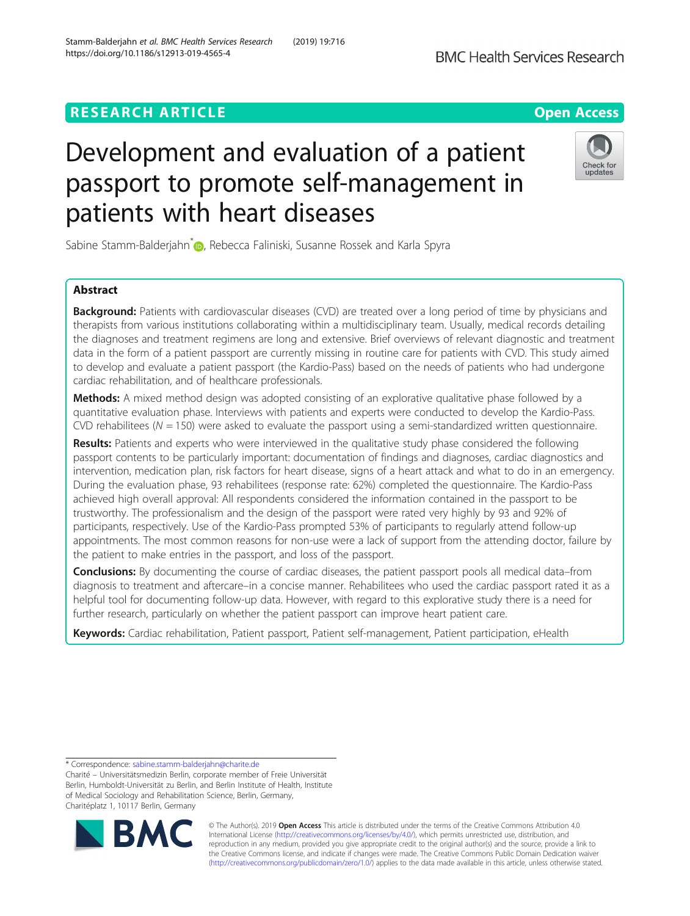# **RESEARCH ARTICLE Example 2014 12:30 The Contract of Contract ACCESS**

# Development and evaluation of a patient passport to promote self-management in patients with heart diseases

Sabine Stamm-Balderjahn<sup>[\\*](http://orcid.org/0000-0002-7919-9811)</sup> , Rebecca Faliniski, Susanne Rossek and Karla Spyra

# Abstract

**Background:** Patients with cardiovascular diseases (CVD) are treated over a long period of time by physicians and therapists from various institutions collaborating within a multidisciplinary team. Usually, medical records detailing the diagnoses and treatment regimens are long and extensive. Brief overviews of relevant diagnostic and treatment data in the form of a patient passport are currently missing in routine care for patients with CVD. This study aimed to develop and evaluate a patient passport (the Kardio-Pass) based on the needs of patients who had undergone cardiac rehabilitation, and of healthcare professionals.

Methods: A mixed method design was adopted consisting of an explorative qualitative phase followed by a quantitative evaluation phase. Interviews with patients and experts were conducted to develop the Kardio-Pass. CVD rehabilitees ( $N = 150$ ) were asked to evaluate the passport using a semi-standardized written questionnaire.

Results: Patients and experts who were interviewed in the qualitative study phase considered the following passport contents to be particularly important: documentation of findings and diagnoses, cardiac diagnostics and intervention, medication plan, risk factors for heart disease, signs of a heart attack and what to do in an emergency. During the evaluation phase, 93 rehabilitees (response rate: 62%) completed the questionnaire. The Kardio-Pass achieved high overall approval: All respondents considered the information contained in the passport to be trustworthy. The professionalism and the design of the passport were rated very highly by 93 and 92% of participants, respectively. Use of the Kardio-Pass prompted 53% of participants to regularly attend follow-up appointments. The most common reasons for non-use were a lack of support from the attending doctor, failure by the patient to make entries in the passport, and loss of the passport.

**Conclusions:** By documenting the course of cardiac diseases, the patient passport pools all medical data–from diagnosis to treatment and aftercare–in a concise manner. Rehabilitees who used the cardiac passport rated it as a helpful tool for documenting follow-up data. However, with regard to this explorative study there is a need for further research, particularly on whether the patient passport can improve heart patient care.

Keywords: Cardiac rehabilitation, Patient passport, Patient self-management, Patient participation, eHealth

\* Correspondence: [sabine.stamm-balderjahn@charite.de](mailto:sabine.stamm-balderjahn@charite.de)

BΛ

Charité – Universitätsmedizin Berlin, corporate member of Freie Universität Berlin, Humboldt-Universität zu Berlin, and Berlin Institute of Health, Institute of Medical Sociology and Rehabilitation Science, Berlin, Germany, Charitéplatz 1, 10117 Berlin, Germany





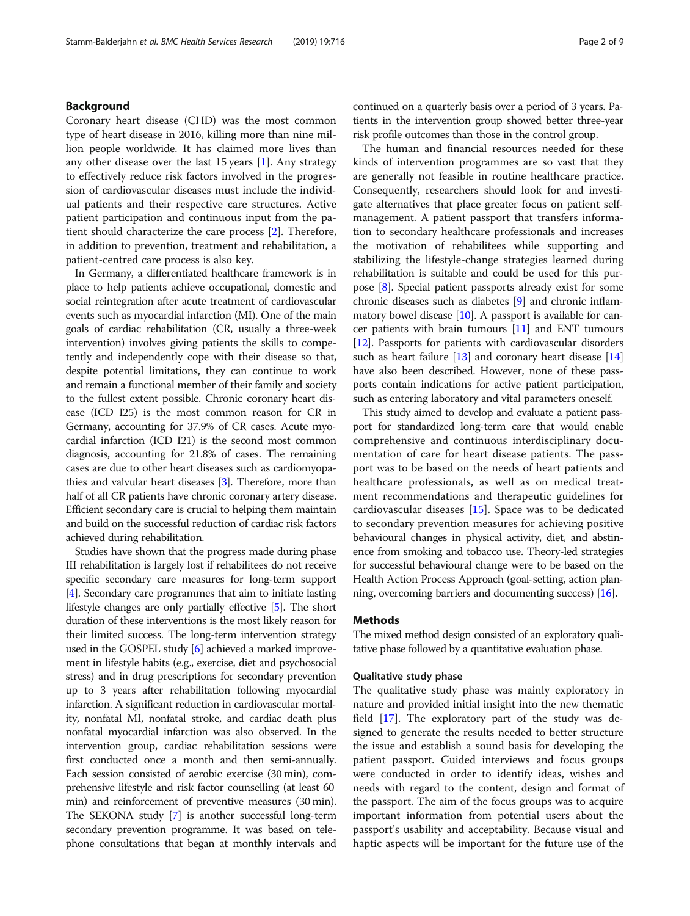# Background

Coronary heart disease (CHD) was the most common type of heart disease in 2016, killing more than nine million people worldwide. It has claimed more lives than any other disease over the last 15 years [[1\]](#page-7-0). Any strategy to effectively reduce risk factors involved in the progression of cardiovascular diseases must include the individual patients and their respective care structures. Active patient participation and continuous input from the patient should characterize the care process [[2](#page-7-0)]. Therefore, in addition to prevention, treatment and rehabilitation, a patient-centred care process is also key.

In Germany, a differentiated healthcare framework is in place to help patients achieve occupational, domestic and social reintegration after acute treatment of cardiovascular events such as myocardial infarction (MI). One of the main goals of cardiac rehabilitation (CR, usually a three-week intervention) involves giving patients the skills to competently and independently cope with their disease so that, despite potential limitations, they can continue to work and remain a functional member of their family and society to the fullest extent possible. Chronic coronary heart disease (ICD I25) is the most common reason for CR in Germany, accounting for 37.9% of CR cases. Acute myocardial infarction (ICD I21) is the second most common diagnosis, accounting for 21.8% of cases. The remaining cases are due to other heart diseases such as cardiomyopathies and valvular heart diseases [\[3\]](#page-7-0). Therefore, more than half of all CR patients have chronic coronary artery disease. Efficient secondary care is crucial to helping them maintain and build on the successful reduction of cardiac risk factors achieved during rehabilitation.

Studies have shown that the progress made during phase III rehabilitation is largely lost if rehabilitees do not receive specific secondary care measures for long-term support [[4](#page-7-0)]. Secondary care programmes that aim to initiate lasting lifestyle changes are only partially effective [[5](#page-7-0)]. The short duration of these interventions is the most likely reason for their limited success. The long-term intervention strategy used in the GOSPEL study [\[6\]](#page-7-0) achieved a marked improvement in lifestyle habits (e.g., exercise, diet and psychosocial stress) and in drug prescriptions for secondary prevention up to 3 years after rehabilitation following myocardial infarction. A significant reduction in cardiovascular mortality, nonfatal MI, nonfatal stroke, and cardiac death plus nonfatal myocardial infarction was also observed. In the intervention group, cardiac rehabilitation sessions were first conducted once a month and then semi-annually. Each session consisted of aerobic exercise (30 min), comprehensive lifestyle and risk factor counselling (at least 60 min) and reinforcement of preventive measures (30 min). The SEKONA study [[7\]](#page-7-0) is another successful long-term secondary prevention programme. It was based on telephone consultations that began at monthly intervals and continued on a quarterly basis over a period of 3 years. Patients in the intervention group showed better three-year risk profile outcomes than those in the control group.

The human and financial resources needed for these kinds of intervention programmes are so vast that they are generally not feasible in routine healthcare practice. Consequently, researchers should look for and investigate alternatives that place greater focus on patient selfmanagement. A patient passport that transfers information to secondary healthcare professionals and increases the motivation of rehabilitees while supporting and stabilizing the lifestyle-change strategies learned during rehabilitation is suitable and could be used for this purpose [[8\]](#page-7-0). Special patient passports already exist for some chronic diseases such as diabetes [\[9\]](#page-7-0) and chronic inflammatory bowel disease [[10](#page-7-0)]. A passport is available for cancer patients with brain tumours [\[11\]](#page-7-0) and ENT tumours [[12](#page-7-0)]. Passports for patients with cardiovascular disorders such as heart failure  $[13]$  $[13]$  $[13]$  and coronary heart disease  $[14]$  $[14]$  $[14]$ have also been described. However, none of these passports contain indications for active patient participation, such as entering laboratory and vital parameters oneself.

This study aimed to develop and evaluate a patient passport for standardized long-term care that would enable comprehensive and continuous interdisciplinary documentation of care for heart disease patients. The passport was to be based on the needs of heart patients and healthcare professionals, as well as on medical treatment recommendations and therapeutic guidelines for cardiovascular diseases [[15\]](#page-7-0). Space was to be dedicated to secondary prevention measures for achieving positive behavioural changes in physical activity, diet, and abstinence from smoking and tobacco use. Theory-led strategies for successful behavioural change were to be based on the Health Action Process Approach (goal-setting, action planning, overcoming barriers and documenting success) [\[16\]](#page-7-0).

## **Methods**

The mixed method design consisted of an exploratory qualitative phase followed by a quantitative evaluation phase.

## Qualitative study phase

The qualitative study phase was mainly exploratory in nature and provided initial insight into the new thematic field [[17\]](#page-7-0). The exploratory part of the study was designed to generate the results needed to better structure the issue and establish a sound basis for developing the patient passport. Guided interviews and focus groups were conducted in order to identify ideas, wishes and needs with regard to the content, design and format of the passport. The aim of the focus groups was to acquire important information from potential users about the passport's usability and acceptability. Because visual and haptic aspects will be important for the future use of the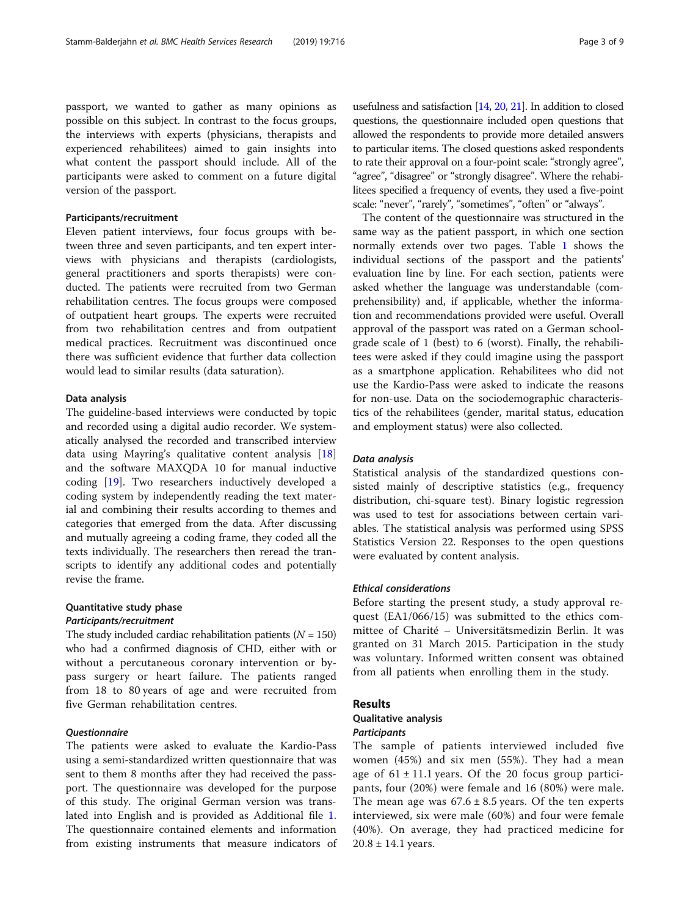passport, we wanted to gather as many opinions as possible on this subject. In contrast to the focus groups, the interviews with experts (physicians, therapists and experienced rehabilitees) aimed to gain insights into what content the passport should include. All of the participants were asked to comment on a future digital version of the passport.

# Participants/recruitment

Eleven patient interviews, four focus groups with between three and seven participants, and ten expert interviews with physicians and therapists (cardiologists, general practitioners and sports therapists) were conducted. The patients were recruited from two German rehabilitation centres. The focus groups were composed of outpatient heart groups. The experts were recruited from two rehabilitation centres and from outpatient medical practices. Recruitment was discontinued once there was sufficient evidence that further data collection would lead to similar results (data saturation).

#### Data analysis

The guideline-based interviews were conducted by topic and recorded using a digital audio recorder. We systematically analysed the recorded and transcribed interview data using Mayring's qualitative content analysis [[18](#page-7-0)] and the software MAXQDA 10 for manual inductive coding [[19\]](#page-7-0). Two researchers inductively developed a coding system by independently reading the text material and combining their results according to themes and categories that emerged from the data. After discussing and mutually agreeing a coding frame, they coded all the texts individually. The researchers then reread the transcripts to identify any additional codes and potentially revise the frame.

# Quantitative study phase Participants/recruitment

The study included cardiac rehabilitation patients  $(N = 150)$ who had a confirmed diagnosis of CHD, either with or without a percutaneous coronary intervention or bypass surgery or heart failure. The patients ranged from 18 to 80 years of age and were recruited from five German rehabilitation centres.

# **Questionnaire**

The patients were asked to evaluate the Kardio-Pass using a semi-standardized written questionnaire that was sent to them 8 months after they had received the passport. The questionnaire was developed for the purpose of this study. The original German version was translated into English and is provided as Additional file [1](#page-6-0). The questionnaire contained elements and information from existing instruments that measure indicators of

usefulness and satisfaction [\[14](#page-7-0), [20](#page-7-0), [21](#page-7-0)]. In addition to closed questions, the questionnaire included open questions that allowed the respondents to provide more detailed answers to particular items. The closed questions asked respondents to rate their approval on a four-point scale: "strongly agree", "agree", "disagree" or "strongly disagree". Where the rehabilitees specified a frequency of events, they used a five-point scale: "never", "rarely", "sometimes", "often" or "always".

The content of the questionnaire was structured in the same way as the patient passport, in which one section normally extends over two pages. Table [1](#page-3-0) shows the individual sections of the passport and the patients' evaluation line by line. For each section, patients were asked whether the language was understandable (comprehensibility) and, if applicable, whether the information and recommendations provided were useful. Overall approval of the passport was rated on a German schoolgrade scale of 1 (best) to 6 (worst). Finally, the rehabilitees were asked if they could imagine using the passport as a smartphone application. Rehabilitees who did not use the Kardio-Pass were asked to indicate the reasons for non-use. Data on the sociodemographic characteristics of the rehabilitees (gender, marital status, education and employment status) were also collected.

#### Data analysis

Statistical analysis of the standardized questions consisted mainly of descriptive statistics (e.g., frequency distribution, chi-square test). Binary logistic regression was used to test for associations between certain variables. The statistical analysis was performed using SPSS Statistics Version 22. Responses to the open questions were evaluated by content analysis.

#### Ethical considerations

Before starting the present study, a study approval request (EA1/066/15) was submitted to the ethics committee of Charité – Universitätsmedizin Berlin. It was granted on 31 March 2015. Participation in the study was voluntary. Informed written consent was obtained from all patients when enrolling them in the study.

#### Results

# Qualitative analysis

# **Participants**

The sample of patients interviewed included five women (45%) and six men (55%). They had a mean age of  $61 \pm 11.1$  years. Of the 20 focus group participants, four (20%) were female and 16 (80%) were male. The mean age was  $67.6 \pm 8.5$  years. Of the ten experts interviewed, six were male (60%) and four were female (40%). On average, they had practiced medicine for  $20.8 \pm 14.1$  years.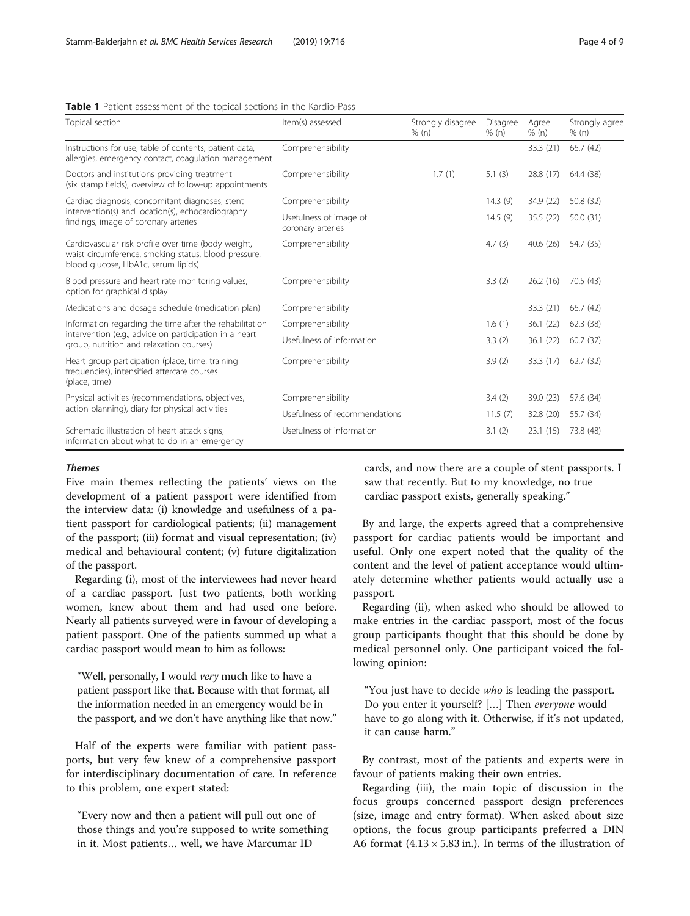<span id="page-3-0"></span>

| <b>Table 1</b> Patient assessment of the topical sections in the Kardio-Pass |  |  |  |
|------------------------------------------------------------------------------|--|--|--|
|------------------------------------------------------------------------------|--|--|--|

| Topical section                                                                                                                                               | Item(s) assessed                            | Strongly disagree<br>% (n) | Disagree<br>% (n) | Agree<br>% (n) | Strongly agree<br>% (n) |
|---------------------------------------------------------------------------------------------------------------------------------------------------------------|---------------------------------------------|----------------------------|-------------------|----------------|-------------------------|
| Instructions for use, table of contents, patient data,<br>allergies, emergency contact, coagulation management                                                | Comprehensibility                           |                            |                   | 33.3 (21)      | 66.7(42)                |
| Doctors and institutions providing treatment<br>(six stamp fields), overview of follow-up appointments                                                        | Comprehensibility                           | 1.7(1)                     | 5.1(3)            | 28.8 (17)      | 64.4 (38)               |
| Cardiac diagnosis, concomitant diagnoses, stent<br>intervention(s) and location(s), echocardiography<br>findings, image of coronary arteries                  | Comprehensibility                           |                            | 14.3(9)           | 34.9 (22)      | 50.8 (32)               |
|                                                                                                                                                               | Usefulness of image of<br>coronary arteries |                            | 14.5(9)           | 35.5(22)       | 50.0(31)                |
| Cardiovascular risk profile over time (body weight,<br>waist circumference, smoking status, blood pressure,<br>blood glucose, HbA1c, serum lipids)            | Comprehensibility                           |                            | 4.7(3)            | 40.6(26)       | 54.7 (35)               |
| Blood pressure and heart rate monitoring values,<br>option for graphical display                                                                              | Comprehensibility                           |                            | 3.3(2)            | 26.2(16)       | 70.5 (43)               |
| Medications and dosage schedule (medication plan)                                                                                                             | Comprehensibility                           |                            |                   | 33.3 (21)      | 66.7(42)                |
| Information regarding the time after the rehabilitation<br>intervention (e.g., advice on participation in a heart<br>group, nutrition and relaxation courses) | Comprehensibility                           |                            | 1.6(1)            | 36.1(22)       | 62.3 (38)               |
|                                                                                                                                                               | Usefulness of information                   |                            | 3.3(2)            | 36.1(22)       | 60.7(37)                |
| Heart group participation (place, time, training<br>frequencies), intensified aftercare courses<br>(place, time)                                              | Comprehensibility                           |                            | 3.9(2)            | 33.3 (17)      | 62.7(32)                |
| Physical activities (recommendations, objectives,<br>action planning), diary for physical activities                                                          | Comprehensibility                           |                            | 3.4(2)            | 39.0 (23)      | 57.6 (34)               |
|                                                                                                                                                               | Usefulness of recommendations               |                            | 11.5(7)           | 32.8 (20)      | 55.7 (34)               |
| Schematic illustration of heart attack signs,<br>information about what to do in an emergency                                                                 | Usefulness of information                   |                            | 3.1(2)            | 23.1(15)       | 73.8 (48)               |

## Themes

Five main themes reflecting the patients' views on the development of a patient passport were identified from the interview data: (i) knowledge and usefulness of a patient passport for cardiological patients; (ii) management of the passport; (iii) format and visual representation; (iv) medical and behavioural content; (v) future digitalization of the passport.

Regarding (i), most of the interviewees had never heard of a cardiac passport. Just two patients, both working women, knew about them and had used one before. Nearly all patients surveyed were in favour of developing a patient passport. One of the patients summed up what a cardiac passport would mean to him as follows:

"Well, personally, I would very much like to have a patient passport like that. Because with that format, all the information needed in an emergency would be in the passport, and we don't have anything like that now."

Half of the experts were familiar with patient passports, but very few knew of a comprehensive passport for interdisciplinary documentation of care. In reference to this problem, one expert stated:

"Every now and then a patient will pull out one of those things and you're supposed to write something in it. Most patients… well, we have Marcumar ID

cards, and now there are a couple of stent passports. I saw that recently. But to my knowledge, no true cardiac passport exists, generally speaking."

By and large, the experts agreed that a comprehensive passport for cardiac patients would be important and useful. Only one expert noted that the quality of the content and the level of patient acceptance would ultimately determine whether patients would actually use a passport.

Regarding (ii), when asked who should be allowed to make entries in the cardiac passport, most of the focus group participants thought that this should be done by medical personnel only. One participant voiced the following opinion:

"You just have to decide who is leading the passport. Do you enter it yourself? […] Then everyone would have to go along with it. Otherwise, if it's not updated, it can cause harm."

By contrast, most of the patients and experts were in favour of patients making their own entries.

Regarding (iii), the main topic of discussion in the focus groups concerned passport design preferences (size, image and entry format). When asked about size options, the focus group participants preferred a DIN A6 format  $(4.13 \times 5.83 \text{ in.})$ . In terms of the illustration of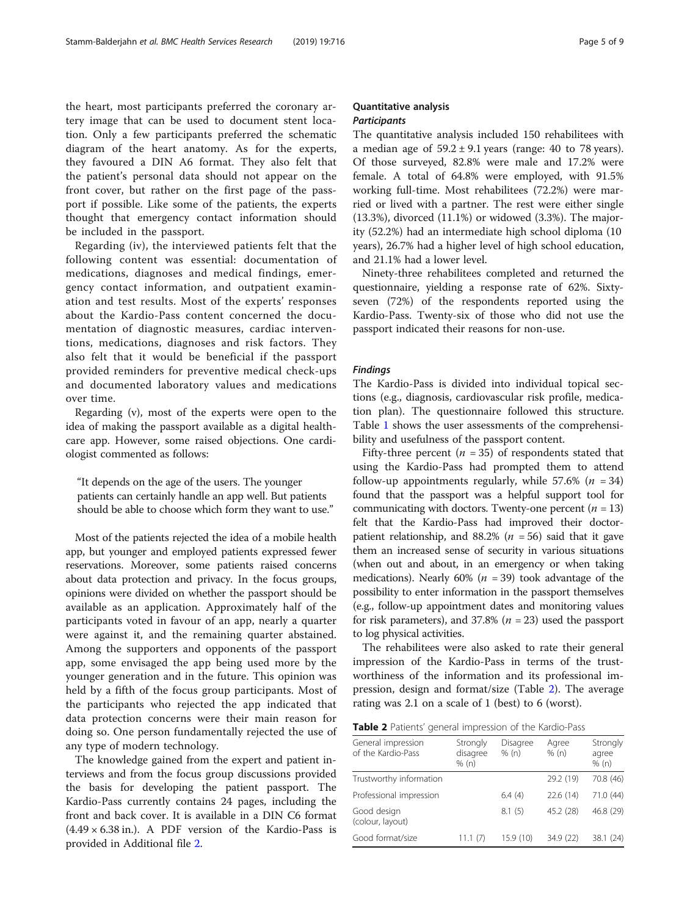<span id="page-4-0"></span>the heart, most participants preferred the coronary artery image that can be used to document stent location. Only a few participants preferred the schematic diagram of the heart anatomy. As for the experts, they favoured a DIN A6 format. They also felt that the patient's personal data should not appear on the front cover, but rather on the first page of the passport if possible. Like some of the patients, the experts thought that emergency contact information should be included in the passport.

Regarding (iv), the interviewed patients felt that the following content was essential: documentation of medications, diagnoses and medical findings, emergency contact information, and outpatient examination and test results. Most of the experts' responses about the Kardio-Pass content concerned the documentation of diagnostic measures, cardiac interventions, medications, diagnoses and risk factors. They also felt that it would be beneficial if the passport provided reminders for preventive medical check-ups and documented laboratory values and medications over time.

Regarding (v), most of the experts were open to the idea of making the passport available as a digital healthcare app. However, some raised objections. One cardiologist commented as follows:

"It depends on the age of the users. The younger patients can certainly handle an app well. But patients should be able to choose which form they want to use."

Most of the patients rejected the idea of a mobile health app, but younger and employed patients expressed fewer reservations. Moreover, some patients raised concerns about data protection and privacy. In the focus groups, opinions were divided on whether the passport should be available as an application. Approximately half of the participants voted in favour of an app, nearly a quarter were against it, and the remaining quarter abstained. Among the supporters and opponents of the passport app, some envisaged the app being used more by the younger generation and in the future. This opinion was held by a fifth of the focus group participants. Most of the participants who rejected the app indicated that data protection concerns were their main reason for doing so. One person fundamentally rejected the use of any type of modern technology.

The knowledge gained from the expert and patient interviews and from the focus group discussions provided the basis for developing the patient passport. The Kardio-Pass currently contains 24 pages, including the front and back cover. It is available in a DIN C6 format  $(4.49 \times 6.38 \text{ in.})$ . A PDF version of the Kardio-Pass is provided in Additional file [2.](#page-6-0)

# Quantitative analysis **Participants**

The quantitative analysis included 150 rehabilitees with a median age of  $59.2 \pm 9.1$  years (range: 40 to 78 years). Of those surveyed, 82.8% were male and 17.2% were female. A total of 64.8% were employed, with 91.5% working full-time. Most rehabilitees (72.2%) were married or lived with a partner. The rest were either single (13.3%), divorced (11.1%) or widowed (3.3%). The majority (52.2%) had an intermediate high school diploma (10 years), 26.7% had a higher level of high school education, and 21.1% had a lower level.

Ninety-three rehabilitees completed and returned the questionnaire, yielding a response rate of 62%. Sixtyseven (72%) of the respondents reported using the Kardio-Pass. Twenty-six of those who did not use the passport indicated their reasons for non-use.

#### Findings

The Kardio-Pass is divided into individual topical sections (e.g., diagnosis, cardiovascular risk profile, medication plan). The questionnaire followed this structure. Table [1](#page-3-0) shows the user assessments of the comprehensibility and usefulness of the passport content.

Fifty-three percent ( $n = 35$ ) of respondents stated that using the Kardio-Pass had prompted them to attend follow-up appointments regularly, while 57.6% ( $n = 34$ ) found that the passport was a helpful support tool for communicating with doctors. Twenty-one percent  $(n = 13)$ felt that the Kardio-Pass had improved their doctorpatient relationship, and 88.2% ( $n = 56$ ) said that it gave them an increased sense of security in various situations (when out and about, in an emergency or when taking medications). Nearly 60% ( $n = 39$ ) took advantage of the possibility to enter information in the passport themselves (e.g., follow-up appointment dates and monitoring values for risk parameters), and 37.8% ( $n = 23$ ) used the passport to log physical activities.

The rehabilitees were also asked to rate their general impression of the Kardio-Pass in terms of the trustworthiness of the information and its professional impression, design and format/size (Table 2). The average rating was 2.1 on a scale of 1 (best) to 6 (worst).

| Table 2 Patients' general impression of the Kardio-Pass |  |  |
|---------------------------------------------------------|--|--|
|---------------------------------------------------------|--|--|

| General impression<br>of the Kardio-Pass | Strongly<br>disagree<br>% (n) | Disagree<br>% (n) | Agree<br>% (n) | Strongly<br>agree<br>% (n) |
|------------------------------------------|-------------------------------|-------------------|----------------|----------------------------|
| Trustworthy information                  |                               |                   | 29.2 (19)      | 70.8 (46)                  |
| Professional impression                  |                               | 6.4(4)            | 22.6(14)       | 71.0 (44)                  |
| Good design<br>(colour, layout)          |                               | 8.1(5)            | 45.2 (28)      | 46.8 (29)                  |
| Good format/size                         | 11.1(7)                       | 15.9 (10)         | 34.9 (22)      | 38.1 (24)                  |
|                                          |                               |                   |                |                            |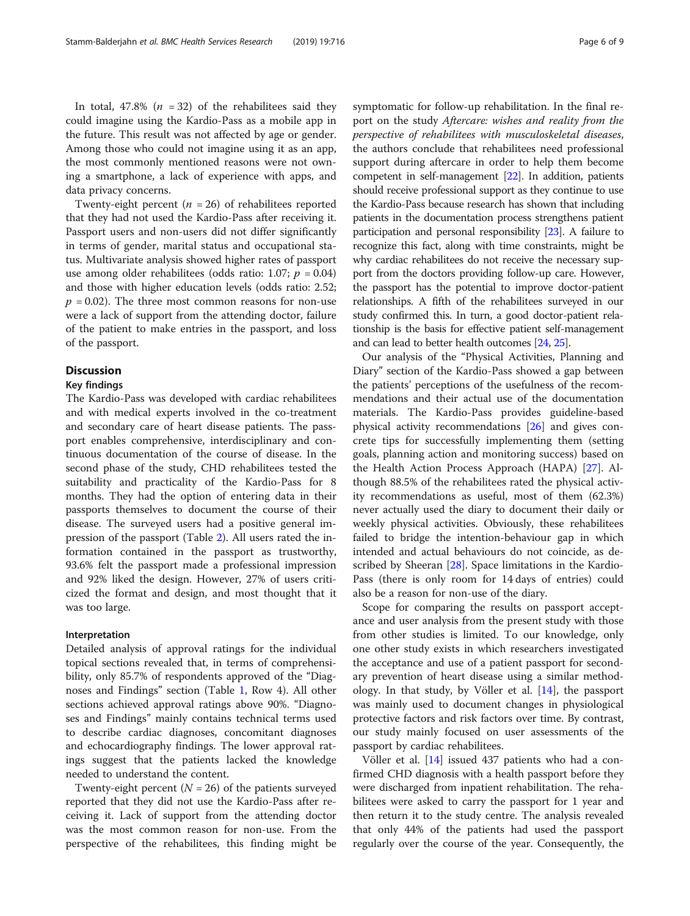In total, 47.8% ( $n = 32$ ) of the rehabilitees said they could imagine using the Kardio-Pass as a mobile app in the future. This result was not affected by age or gender. Among those who could not imagine using it as an app, the most commonly mentioned reasons were not owning a smartphone, a lack of experience with apps, and data privacy concerns.

Twenty-eight percent ( $n = 26$ ) of rehabilitees reported that they had not used the Kardio-Pass after receiving it. Passport users and non-users did not differ significantly in terms of gender, marital status and occupational status. Multivariate analysis showed higher rates of passport use among older rehabilitees (odds ratio: 1.07;  $p = 0.04$ ) and those with higher education levels (odds ratio: 2.52;  $p = 0.02$ ). The three most common reasons for non-use were a lack of support from the attending doctor, failure of the patient to make entries in the passport, and loss of the passport.

#### **Discussion**

#### Key findings

The Kardio-Pass was developed with cardiac rehabilitees and with medical experts involved in the co-treatment and secondary care of heart disease patients. The passport enables comprehensive, interdisciplinary and continuous documentation of the course of disease. In the second phase of the study, CHD rehabilitees tested the suitability and practicality of the Kardio-Pass for 8 months. They had the option of entering data in their passports themselves to document the course of their disease. The surveyed users had a positive general impression of the passport (Table [2\)](#page-4-0). All users rated the information contained in the passport as trustworthy, 93.6% felt the passport made a professional impression and 92% liked the design. However, 27% of users criticized the format and design, and most thought that it was too large.

#### Interpretation

Detailed analysis of approval ratings for the individual topical sections revealed that, in terms of comprehensibility, only 85.7% of respondents approved of the "Diagnoses and Findings" section (Table [1](#page-3-0), Row 4). All other sections achieved approval ratings above 90%. "Diagnoses and Findings" mainly contains technical terms used to describe cardiac diagnoses, concomitant diagnoses and echocardiography findings. The lower approval ratings suggest that the patients lacked the knowledge needed to understand the content.

Twenty-eight percent ( $N = 26$ ) of the patients surveyed reported that they did not use the Kardio-Pass after receiving it. Lack of support from the attending doctor was the most common reason for non-use. From the perspective of the rehabilitees, this finding might be symptomatic for follow-up rehabilitation. In the final report on the study Aftercare: wishes and reality from the perspective of rehabilitees with musculoskeletal diseases, the authors conclude that rehabilitees need professional support during aftercare in order to help them become competent in self-management [[22](#page-7-0)]. In addition, patients should receive professional support as they continue to use the Kardio-Pass because research has shown that including patients in the documentation process strengthens patient participation and personal responsibility [\[23\]](#page-7-0). A failure to recognize this fact, along with time constraints, might be why cardiac rehabilitees do not receive the necessary support from the doctors providing follow-up care. However, the passport has the potential to improve doctor-patient relationships. A fifth of the rehabilitees surveyed in our study confirmed this. In turn, a good doctor-patient relationship is the basis for effective patient self-management and can lead to better health outcomes [\[24,](#page-7-0) [25\]](#page-7-0).

Our analysis of the "Physical Activities, Planning and Diary" section of the Kardio-Pass showed a gap between the patients' perceptions of the usefulness of the recommendations and their actual use of the documentation materials. The Kardio-Pass provides guideline-based physical activity recommendations [[26](#page-7-0)] and gives concrete tips for successfully implementing them (setting goals, planning action and monitoring success) based on the Health Action Process Approach (HAPA) [\[27\]](#page-7-0). Although 88.5% of the rehabilitees rated the physical activity recommendations as useful, most of them (62.3%) never actually used the diary to document their daily or weekly physical activities. Obviously, these rehabilitees failed to bridge the intention-behaviour gap in which intended and actual behaviours do not coincide, as de-scribed by Sheeran [[28\]](#page-7-0). Space limitations in the Kardio-Pass (there is only room for 14 days of entries) could also be a reason for non-use of the diary.

Scope for comparing the results on passport acceptance and user analysis from the present study with those from other studies is limited. To our knowledge, only one other study exists in which researchers investigated the acceptance and use of a patient passport for secondary prevention of heart disease using a similar methodology. In that study, by Völler et al. [\[14](#page-7-0)], the passport was mainly used to document changes in physiological protective factors and risk factors over time. By contrast, our study mainly focused on user assessments of the passport by cardiac rehabilitees.

Völler et al. [[14\]](#page-7-0) issued 437 patients who had a confirmed CHD diagnosis with a health passport before they were discharged from inpatient rehabilitation. The rehabilitees were asked to carry the passport for 1 year and then return it to the study centre. The analysis revealed that only 44% of the patients had used the passport regularly over the course of the year. Consequently, the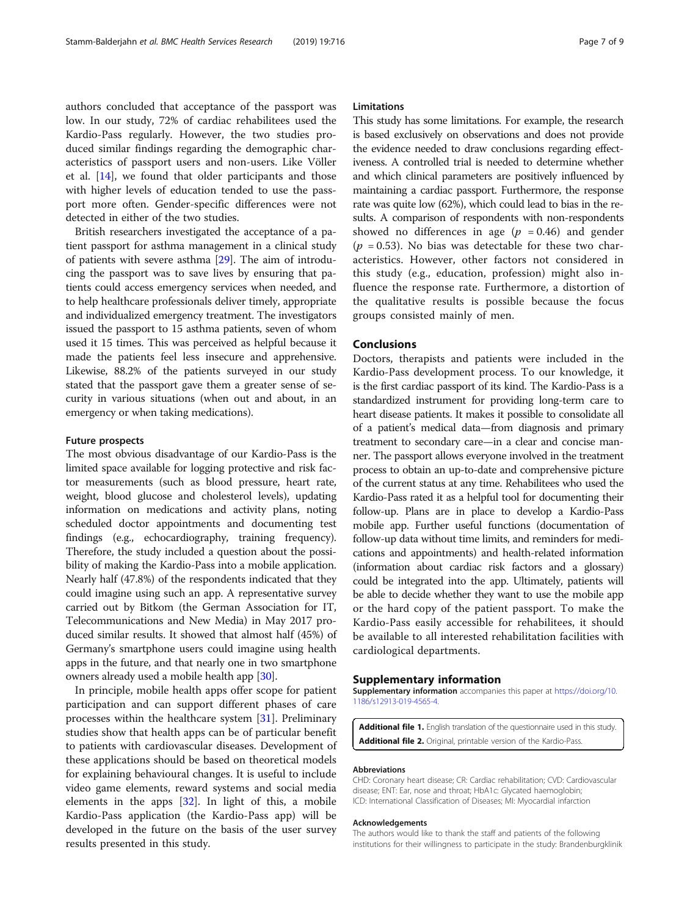<span id="page-6-0"></span>authors concluded that acceptance of the passport was low. In our study, 72% of cardiac rehabilitees used the Kardio-Pass regularly. However, the two studies produced similar findings regarding the demographic characteristics of passport users and non-users. Like Völler et al. [[14\]](#page-7-0), we found that older participants and those with higher levels of education tended to use the passport more often. Gender-specific differences were not detected in either of the two studies.

British researchers investigated the acceptance of a patient passport for asthma management in a clinical study of patients with severe asthma [[29](#page-7-0)]. The aim of introducing the passport was to save lives by ensuring that patients could access emergency services when needed, and to help healthcare professionals deliver timely, appropriate and individualized emergency treatment. The investigators issued the passport to 15 asthma patients, seven of whom used it 15 times. This was perceived as helpful because it made the patients feel less insecure and apprehensive. Likewise, 88.2% of the patients surveyed in our study stated that the passport gave them a greater sense of security in various situations (when out and about, in an emergency or when taking medications).

#### Future prospects

The most obvious disadvantage of our Kardio-Pass is the limited space available for logging protective and risk factor measurements (such as blood pressure, heart rate, weight, blood glucose and cholesterol levels), updating information on medications and activity plans, noting scheduled doctor appointments and documenting test findings (e.g., echocardiography, training frequency). Therefore, the study included a question about the possibility of making the Kardio-Pass into a mobile application. Nearly half (47.8%) of the respondents indicated that they could imagine using such an app. A representative survey carried out by Bitkom (the German Association for IT, Telecommunications and New Media) in May 2017 produced similar results. It showed that almost half (45%) of Germany's smartphone users could imagine using health apps in the future, and that nearly one in two smartphone owners already used a mobile health app [[30](#page-7-0)].

In principle, mobile health apps offer scope for patient participation and can support different phases of care processes within the healthcare system [[31](#page-8-0)]. Preliminary studies show that health apps can be of particular benefit to patients with cardiovascular diseases. Development of these applications should be based on theoretical models for explaining behavioural changes. It is useful to include video game elements, reward systems and social media elements in the apps [[32\]](#page-8-0). In light of this, a mobile Kardio-Pass application (the Kardio-Pass app) will be developed in the future on the basis of the user survey results presented in this study.

#### Limitations

This study has some limitations. For example, the research is based exclusively on observations and does not provide the evidence needed to draw conclusions regarding effectiveness. A controlled trial is needed to determine whether and which clinical parameters are positively influenced by maintaining a cardiac passport. Furthermore, the response rate was quite low (62%), which could lead to bias in the results. A comparison of respondents with non-respondents showed no differences in age ( $p = 0.46$ ) and gender  $(p = 0.53)$ . No bias was detectable for these two characteristics. However, other factors not considered in this study (e.g., education, profession) might also influence the response rate. Furthermore, a distortion of the qualitative results is possible because the focus groups consisted mainly of men.

#### Conclusions

Doctors, therapists and patients were included in the Kardio-Pass development process. To our knowledge, it is the first cardiac passport of its kind. The Kardio-Pass is a standardized instrument for providing long-term care to heart disease patients. It makes it possible to consolidate all of a patient's medical data—from diagnosis and primary treatment to secondary care—in a clear and concise manner. The passport allows everyone involved in the treatment process to obtain an up-to-date and comprehensive picture of the current status at any time. Rehabilitees who used the Kardio-Pass rated it as a helpful tool for documenting their follow-up. Plans are in place to develop a Kardio-Pass mobile app. Further useful functions (documentation of follow-up data without time limits, and reminders for medications and appointments) and health-related information (information about cardiac risk factors and a glossary) could be integrated into the app. Ultimately, patients will be able to decide whether they want to use the mobile app or the hard copy of the patient passport. To make the Kardio-Pass easily accessible for rehabilitees, it should be available to all interested rehabilitation facilities with cardiological departments.

# Supplementary information

Supplementary information accompanies this paper at [https://doi.org/10.](https://doi.org/10.1186/s12913-019-4565-4) [1186/s12913-019-4565-4.](https://doi.org/10.1186/s12913-019-4565-4)

Additional file 1. English translation of the questionnaire used in this study. Additional file 2. Original, printable version of the Kardio-Pass.

#### Abbreviations

CHD: Coronary heart disease; CR: Cardiac rehabilitation; CVD: Cardiovascular disease; ENT: Ear, nose and throat; HbA1c: Glycated haemoglobin; ICD: International Classification of Diseases; MI: Myocardial infarction

#### Acknowledgements

The authors would like to thank the staff and patients of the following institutions for their willingness to participate in the study: Brandenburgklinik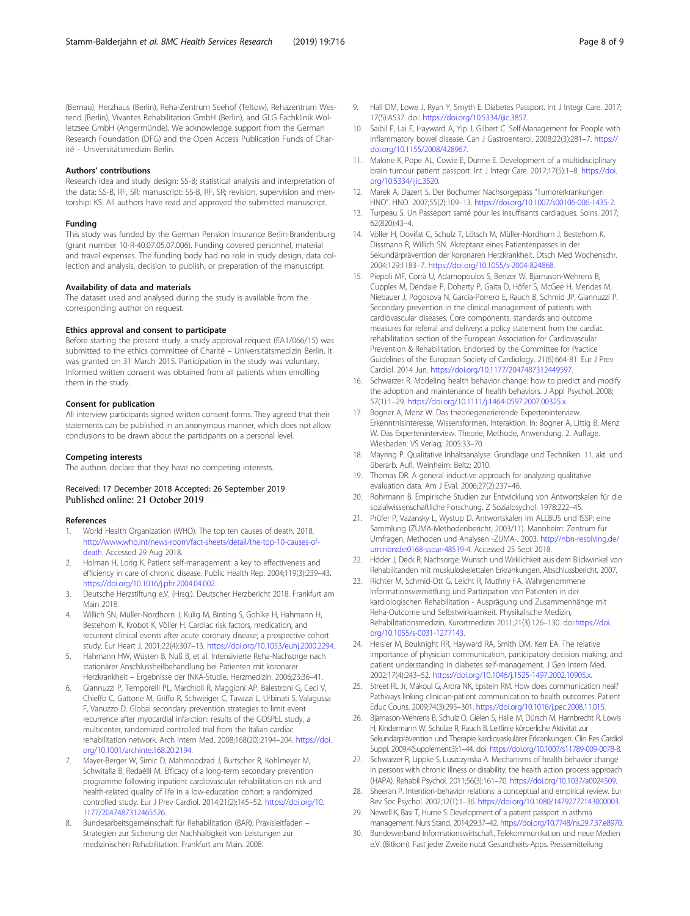<span id="page-7-0"></span>(Bernau), Herzhaus (Berlin), Reha-Zentrum Seehof (Teltow), Rehazentrum Westend (Berlin), Vivantes Rehabilitation GmbH (Berlin), and GLG Fachklinik Wolletzsee GmbH (Angermünde). We acknowledge support from the German Research Foundation (DFG) and the Open Access Publication Funds of Charité – Universitätsmedizin Berlin.

#### Authors' contributions

Research idea and study design: SS-B; statistical analysis and interpretation of the data: SS-B, RF, SR; manuscript: SS-B, RF, SR; revision, supervision and mentorship: KS. All authors have read and approved the submitted manuscript.

#### Funding

This study was funded by the German Pension Insurance Berlin-Brandenburg (grant number 10-R-40.07.05.07.006). Funding covered personnel, material and travel expenses. The funding body had no role in study design, data collection and analysis, decision to publish, or preparation of the manuscript.

#### Availability of data and materials

The dataset used and analysed during the study is available from the corresponding author on request.

#### Ethics approval and consent to participate

Before starting the present study, a study approval request (EA1/066/15) was submitted to the ethics committee of Charité – Universitätsmedizin Berlin. It was granted on 31 March 2015. Participation in the study was voluntary. Informed written consent was obtained from all patients when enrolling them in the study.

#### Consent for publication

All interview participants signed written consent forms. They agreed that their statements can be published in an anonymous manner, which does not allow conclusions to be drawn about the participants on a personal level.

#### Competing interests

The authors declare that they have no competing interests.

#### Received: 17 December 2018 Accepted: 26 September 2019 Published online: 21 October 2019

#### References

- 1. World Health Organization (WHO). The top ten causes of death. 2018. [http://www.who.int/news-room/fact-sheets/detail/the-top-10-causes-of](http://www.who.int/news-room/fact-sheets/detail/the-top-10-causes-of-death)[death](http://www.who.int/news-room/fact-sheets/detail/the-top-10-causes-of-death). Accessed 29 Aug 2018.
- 2. Holman H, Lorig K. Patient self-management: a key to effectiveness and efficiency in care of chronic disease. Public Health Rep. 2004;119(3):239–43. [https://doi.org/10.1016/j.phr.2004.04.002.](https://doi.org/10.1016/j.phr.2004.04.002)
- 3. Deutsche Herzstiftung e.V. (Hrsg.). Deutscher Herzbericht 2018. Frankfurt am Main 2018.
- 4. Willich SN, Müller-Nordhorn J, Kulig M, Binting S, Gohlke H, Hahmann H, Bestehorn K, Krobot K, Völler H. Cardiac risk factors, medication, and recurrent clinical events after acute coronary disease; a prospective cohort study. Eur Heart J. 2001;22(4):307–13. <https://doi.org/10.1053/euhj.2000.2294>.
- Hahmann HW, Wüsten B, Nuß B, et al. Intensivierte Reha-Nachsorge nach stationärer Anschlussheilbehandlung bei Patienten mit koronarer Herzkrankheit – Ergebnisse der INKA-Studie. Herzmedizin. 2006;23:36–41.
- 6. Giannuzzi P, Temporelli PL, Marchioli R, Maggioni AP, Balestroni G, Ceci V, Chieffo C, Gattone M, Griffo R, Schweiger C, Tavazzi L, Urbinati S, Valagussa F, Vanuzzo D. Global secondary prevention strategies to limit event recurrence after myocardial infarction: results of the GOSPEL study, a multicenter, randomized controlled trial from the Italian cardiac rehabilitation network. Arch Intern Med. 2008;168(20):2194–204. [https://doi.](https://doi.org/10.1001/archinte.168.20.2194) [org/10.1001/archinte.168.20.2194](https://doi.org/10.1001/archinte.168.20.2194).
- 7. Mayer-Berger W, Simic D, Mahmoodzad J, Burtscher R, Kohlmeyer M, Schwitalla B, Redaèlli M. Efficacy of a long-term secondary prevention programme following inpatient cardiovascular rehabilitation on risk and health-related quality of life in a low-education cohort: a randomized controlled study. Eur J Prev Cardiol. 2014;21(2):145–52. [https://doi.org/10.](https://doi.org/10.1177/2047487312465526) [1177/2047487312465526](https://doi.org/10.1177/2047487312465526).
- 8. Bundesarbeitsgemeinschaft für Rehabilitation (BAR). Praxisleitfaden Strategien zur Sicherung der Nachhaltigkeit von Leistungen zur medizinischen Rehabilitation. Frankfurt am Main. 2008.
- 9. Hall DM, Lowe J, Ryan Y, Smyth E. Diabetes Passport. Int J Integr Care. 2017; 17(5):A537. doi: [https://doi.org/10.5334/ijic.3857.](https://doi.org/10.5334/ijic.3857)
- 10. Saibil F, Lai E, Hayward A, Yip J, Gilbert C. Self-Management for People with inflammatory bowel disease. Can J Gastroenterol. 2008;22(3):281–7. [https://](https://doi.org/10.1155/2008/428967) [doi.org/10.1155/2008/428967.](https://doi.org/10.1155/2008/428967)
- 11. Malone K, Pope AL, Cowie E, Dunne E. Development of a multidisciplinary brain tumour patient passport. Int J Integr Care. 2017;17(5):1–8. [https://doi.](https://doi.org/10.5334/ijic.3520) [org/10.5334/ijic.3520](https://doi.org/10.5334/ijic.3520).
- 12. Marek A, Dazert S. Der Bochumer Nachsorgepass "Tumorerkrankungen HNO". HNO. 2007;55(2):109–13. <https://doi.org/10.1007/s00106-006-1435-2>.
- 13. Turpeau S. Un Passeport santé pour les insuffisants cardiaques. Soins. 2017; 62(820):43–4.
- 14. Völler H, Dovifat C, Schulz T, Lötsch M, Müller-Nordhorn J, Bestehorn K, Dissmann R, Willich SN. Akzeptanz eines Patientenpasses in der Sekundärprävention der koronaren Herzkrankheit. Dtsch Med Wochenschr. 2004;129:1183–7. <https://doi.org/10.1055/s-2004-824868>.
- 15. Piepoli MF, Corrà U, Adamopoulos S, Benzer W, Bjarnason-Wehrens B, Cupples M, Dendale P, Doherty P, Gaita D, Höfer S, McGee H, Mendes M, Niebauer J, Pogosova N, Garcia-Porrero E, Rauch B, Schmid JP, Giannuzzi P. Secondary prevention in the clinical management of patients with cardiovascular diseases. Core components, standards and outcome measures for referral and delivery: a policy statement from the cardiac rehabilitation section of the European Association for Cardiovascular Prevention & Rehabilitation. Endorsed by the Committee for Practice Guidelines of the European Society of Cardiology, 21(6):664-81. Eur J Prev Cardiol. 2014 Jun. [https://doi.org/10.1177/2047487312449597.](https://doi.org/10.1177/2047487312449597)
- 16. Schwarzer R. Modeling health behavior change: how to predict and modify the adoption and maintenance of health behaviors. J Appl Psychol. 2008; 57(1):1–29. [https://doi.org/10.1111/j.1464-0597.2007.00325.x.](https://doi.org/10.1111/j.1464-0597.2007.00325.x)
- 17. Bogner A, Menz W. Das theoriegenerierende Experteninterview. Erkenntnisinteresse, Wissensformen, Interaktion. In: Bogner A, Littig B, Menz W. Das Experteninterview. Theorie, Methode, Anwendung. 2. Auflage. Wiesbaden: VS Verlag; 2005:33–70.
- 18. Mayring P. Qualitative Inhaltsanalyse: Grundlage und Techniken. 11. akt. und überarb. Aufl. Weinheim: Beltz; 2010.
- 19. Thomas DR. A general inductive approach for analyzing qualitative evaluation data. Am J Eval. 2006;27(2):237–46.
- 20. Rohrmann B. Empirische Studien zur Entwicklung von Antwortskalen für die sozialwissenschaftliche Forschung. Z Sozialpsychol. 1978:222–45.
- 21. Prüfer P, Vazansky L, Wystup D. Antwortskalen im ALLBUS und ISSP: eine Sammlung (ZUMA-Methodenbericht, 2003/11). Mannheim: Zentrum für Umfragen, Methoden und Analysen -ZUMA-. 2003. [http://nbn-resolving.de/](http://nbn-resolving.de/urn:nbn:de:0168-ssoar-48519-4) [urn:nbn:de:0168-ssoar-48519-4](http://nbn-resolving.de/urn:nbn:de:0168-ssoar-48519-4). Accessed 25 Sept 2018.
- 22. Höder J, Deck R. Nachsorge: Wunsch und Wirklichkeit aus dem Blickwinkel von Rehabilitanden mit muskuloskelettalen Erkrankungen. Abschlussbericht. 2007.
- 23. Richter M, Schmid-Ott G, Leicht R, Muthny FA. Wahrgenommene Informationsvermittlung und Partizipation von Patienten in der kardiologischen Rehabilitation - Ausprägung und Zusammenhänge mit Reha-Outcome und Selbstwirksamkeit. Physikalische Medizin, Rehabilitationsmedizin, Kurortmedizin 2011;21(3):126–130. doi:[https://doi.](https://doi.org/10.1055/s-0031-1277143) [org/10.1055/s-0031-1277143](https://doi.org/10.1055/s-0031-1277143).
- 24. Heisler M, Bouknight RR, Hayward RA, Smith DM, Kerr EA. The relative importance of physician communication, participatory decision making, and patient understanding in diabetes self-management. J Gen Intern Med. 2002;17(4):243–52. <https://doi.org/10.1046/j.1525-1497.2002.10905.x>.
- 25. Street RL Jr, Makoul G, Arora NK, Epstein RM. How does communication heal? Pathways linking clinician-patient communication to health outcomes. Patient Educ Couns. 2009;74(3):295–301. [https://doi.org/10.1016/j.pec.2008.11.015.](https://doi.org/10.1016/j.pec.2008.11.015)
- 26. Bjarnason-Wehrens B, Schulz O, Gielen S, Halle M, Dürsch M, Hambrecht R, Lowis H, Kindermann W, Schulze R, Rauch B. Leitlinie körperliche Aktivität zur Sekundärprävention und Therapie kardiovaskulärer Erkrankungen. Clin Res Cardiol Suppl. 2009;4(Supplement3):1–44. doi: <https://doi.org/10.1007/s11789-009-0078-8>.
- 27. Schwarzer R, Lippke S, Luszczynska A. Mechanisms of health behavior change in persons with chronic illness or disability: the health action process approach (HAPA). Rehabil Psychol. 2011;56(3):161–70. [https://doi.org/10.1037/a0024509.](https://doi.org/10.1037/a0024509)
- 28. Sheeran P. Intention-behavior relations: a conceptual and empirical review. Eur Rev Soc Psychol. 2002;12(1):1–36. <https://doi.org/10.1080/14792772143000003>.
- 29. Newell K, Basi T, Hume S. Development of a patient passport in asthma management. Nurs Stand. 2014;29:37–42. [https://doi.org/10.7748/ns.29.7.37.e8970.](https://doi.org/10.7748/ns.29.7.37.e8970)
- 30. Bundesverband Informationswirtschaft, Telekommunikation und neue Medien e.V. (Bitkom). Fast jeder Zweite nutzt Gesundheits-Apps. Pressemitteilung